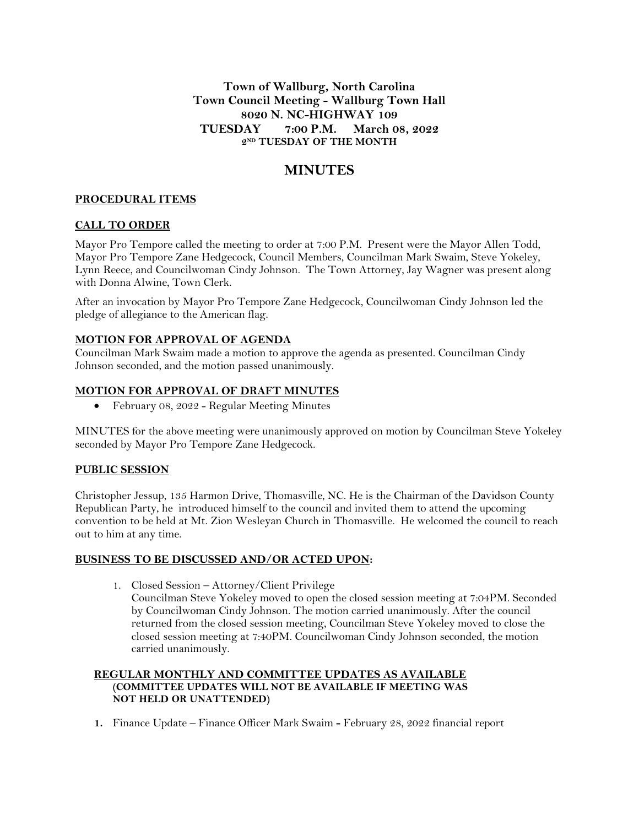**Town of Wallburg, North Carolina Town Council Meeting - Wallburg Town Hall 8020 N. NC-HIGHWAY 109 TUESDAY 7:00 P.M. March 08, 2022 2 ND TUESDAY OF THE MONTH**

# **MINUTES**

## **PROCEDURAL ITEMS**

## **CALL TO ORDER**

Mayor Pro Tempore called the meeting to order at 7:00 P.M. Present were the Mayor Allen Todd, Mayor Pro Tempore Zane Hedgecock, Council Members, Councilman Mark Swaim, Steve Yokeley, Lynn Reece, and Councilwoman Cindy Johnson. The Town Attorney, Jay Wagner was present along with Donna Alwine, Town Clerk.

After an invocation by Mayor Pro Tempore Zane Hedgecock, Councilwoman Cindy Johnson led the pledge of allegiance to the American flag.

## **MOTION FOR APPROVAL OF AGENDA**

Councilman Mark Swaim made a motion to approve the agenda as presented. Councilman Cindy Johnson seconded, and the motion passed unanimously.

#### **MOTION FOR APPROVAL OF DRAFT MINUTES**

February 08, 2022 - Regular Meeting Minutes

MINUTES for the above meeting were unanimously approved on motion by Councilman Steve Yokeley seconded by Mayor Pro Tempore Zane Hedgecock.

## **PUBLIC SESSION**

Christopher Jessup, 135 Harmon Drive, Thomasville, NC. He is the Chairman of the Davidson County Republican Party, he introduced himself to the council and invited them to attend the upcoming convention to be held at Mt. Zion Wesleyan Church in Thomasville. He welcomed the council to reach out to him at any time.

#### **BUSINESS TO BE DISCUSSED AND/OR ACTED UPON:**

1. Closed Session – Attorney/Client Privilege Councilman Steve Yokeley moved to open the closed session meeting at 7:04PM. Seconded by Councilwoman Cindy Johnson. The motion carried unanimously. After the council returned from the closed session meeting, Councilman Steve Yokeley moved to close the closed session meeting at 7:40PM. Councilwoman Cindy Johnson seconded, the motion carried unanimously.

## **REGULAR MONTHLY AND COMMITTEE UPDATES AS AVAILABLE (COMMITTEE UPDATES WILL NOT BE AVAILABLE IF MEETING WAS NOT HELD OR UNATTENDED)**

**1.** Finance Update – Finance Officer Mark Swaim **-** February 28, 2022 financial report